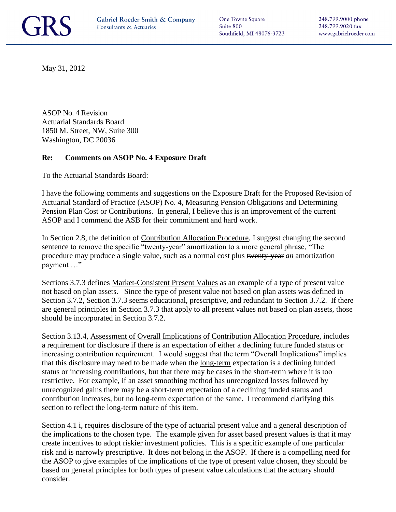One Towne Square Suite 800 Southfield, MI 48076-3723

May 31, 2012

ASOP No. 4 Revision Actuarial Standards Board 1850 M. Street, NW, Suite 300 Washington, DC 20036

## **Re: Comments on ASOP No. 4 Exposure Draft**

To the Actuarial Standards Board:

I have the following comments and suggestions on the Exposure Draft for the Proposed Revision of Actuarial Standard of Practice (ASOP) No. 4, Measuring Pension Obligations and Determining Pension Plan Cost or Contributions. In general, I believe this is an improvement of the current ASOP and I commend the ASB for their commitment and hard work.

In Section 2.8, the definition of Contribution Allocation Procedure, I suggest changing the second sentence to remove the specific "twenty-year" amortization to a more general phrase, "The procedure may produce a single value, such as a normal cost plus twenty-year *an* amortization payment …"

Sections 3.7.3 defines Market-Consistent Present Values as an example of a type of present value not based on plan assets. Since the type of present value not based on plan assets was defined in Section 3.7.2, Section 3.7.3 seems educational, prescriptive, and redundant to Section 3.7.2. If there are general principles in Section 3.7.3 that apply to all present values not based on plan assets, those should be incorporated in Section 3.7.2.

Section 3.13.4, Assessment of Overall Implications of Contribution Allocation Procedure, includes a requirement for disclosure if there is an expectation of either a declining future funded status or increasing contribution requirement. I would suggest that the term "Overall Implications" implies that this disclosure may need to be made when the long-term expectation is a declining funded status or increasing contributions, but that there may be cases in the short-term where it is too restrictive. For example, if an asset smoothing method has unrecognized losses followed by unrecognized gains there may be a short-term expectation of a declining funded status and contribution increases, but no long-term expectation of the same. I recommend clarifying this section to reflect the long-term nature of this item.

Section 4.1 i, requires disclosure of the type of actuarial present value and a general description of the implications to the chosen type. The example given for asset based present values is that it may create incentives to adopt riskier investment policies. This is a specific example of one particular risk and is narrowly prescriptive. It does not belong in the ASOP. If there is a compelling need for the ASOP to give examples of the implications of the type of present value chosen, they should be based on general principles for both types of present value calculations that the actuary should consider.